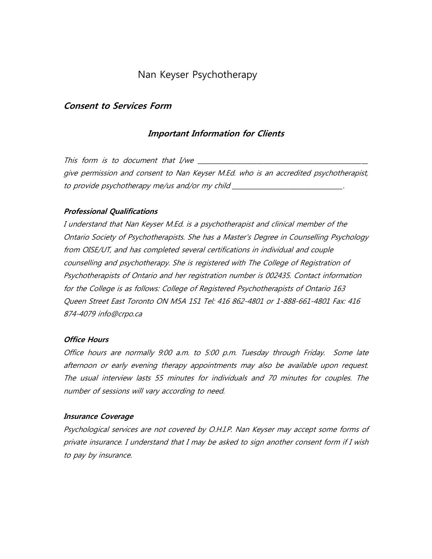# Nan Keyser Psychotherapy

# **Consent to Services Form**

# **Important Information for Clients**

This form is to document that I/we  $\equiv$ give permission and consent to Nan Keyser M.Ed. who is an accredited psychotherapist, to provide psychotherapy me/us and/or my child

#### **Professional Qualifications**

I understand that Nan Keyser M.Ed. is a psychotherapist and clinical member of the Ontario Society of Psychotherapists. She has a Master's Degree in Counselling Psychology from OISE/UT, and has completed several certifications in individual and couple counselling and psychotherapy. She is registered with The College of Registration of Psychotherapists of Ontario and her registration number is 002435. Contact information for the College is as follows: College of Registered Psychotherapists of Ontario 163 Queen Street East Toronto ON M5A 1S1 Tel: 416 862-4801 or 1-888-661-4801 Fax: 416 874-4079 info@crpo.ca

#### **Office Hours**

Office hours are normally 9:00 a.m. to 5:00 p.m. Tuesday through Friday. Some late afternoon or early evening therapy appointments may also be available upon request. The usual interview lasts 55 minutes for individuals and 70 minutes for couples. The number of sessions will vary according to need.

#### **Insurance Coverage**

Psychological services are not covered by O.H.I.P. Nan Keyser may accept some forms of private insurance. I understand that I may be asked to sign another consent form if I wish to pay by insurance.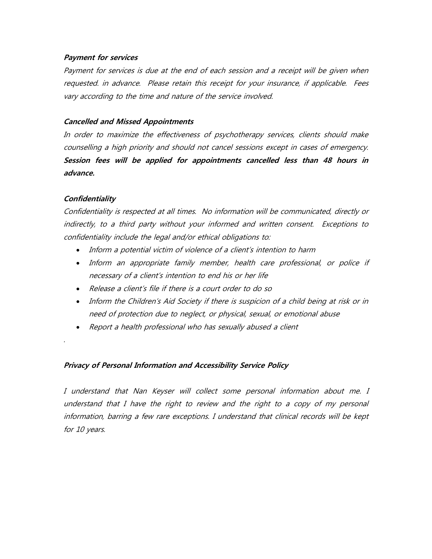#### **Payment for services**

Payment for services is due at the end of each session and a receipt will be given when requested. in advance. Please retain this receipt for your insurance, if applicable. Fees vary according to the time and nature of the service involved.

#### **Cancelled and Missed Appointments**

In order to maximize the effectiveness of psychotherapy services, clients should make counselling a high priority and should not cancel sessions except in cases of emergency. **Session fees will be applied for appointments cancelled less than 48 hours in advance.**

# **Confidentiality**

Confidentiality is respected at all times. No information will be communicated, directly or indirectly, to a third party without your informed and written consent. Exceptions to confidentiality include the legal and/or ethical obligations to:

- Inform a potential victim of violence of a client's intention to harm
- Inform an appropriate family member, health care professional, or police if necessary of a client's intention to end his or her life
- Release a client's file if there is a court order to do so
- Inform the Children's Aid Society if there is suspicion of a child being at risk or in need of protection due to neglect, or physical, sexual, or emotional abuse
- Report a health professional who has sexually abused a client

# **Privacy of Personal Information and Accessibility Service Policy**

I understand that Nan Keyser will collect some personal information about me. I understand that I have the right to review and the right to a copy of my personal information, barring a few rare exceptions. I understand that clinical records will be kept for 10 years.